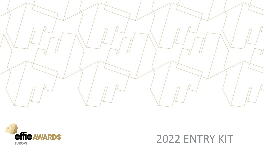



### 2022 ENTRY KIT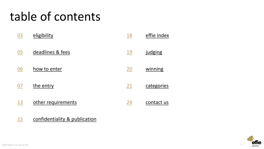# table of contents

| 03 | eligibility        | <u>18</u>  | effie index |
|----|--------------------|------------|-------------|
| 05 | deadlines & fees   | <u> 19</u> | judging     |
| 06 | how to enter       | 20         | winning     |
| 07 | the entry          | 21         | categories  |
| 13 | other requirements | 24         | contact us  |

[confidentiality & publication](#page-14-0)

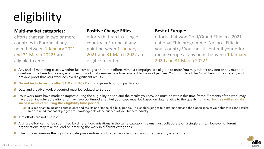# <span id="page-2-0"></span>eligibility

### **Multi-market categories:**

efforts that ran in two or more countries in Europe at any point between 1 January 2021 and 31 March 2022\* are eligible to enter.

### **Positive Change Effies:**

efforts that ran in a single country in Europe at any point between 1 January 2021 and 31 March 2022 are eligible to enter.

### **Best of Europe:**

efforts that won Gold/Grand Effie in a 2021 national Effie programme. No local Effie in your country? You can still enter if your effort ran in Europe at any point between 1 January 2020 and 31 March 2022\*.

- Any and all marketing cases, whether full campaigns or unique efforts within a campaign, are eligible to enter. You may submit any one or any multiple combination of mediums – any examples of work that demonstrate how you tackled your objectives. You must detail the "why" behind the strategy and provide proof that your work achieved significant results.
- **Do not include results after 31 March 2022**  this is grounds for disqualification.
- Data and creative work presented must be isolated to Europe.
- Your work must have made an impact during the eligibility period and the results you provide must be within this time frame. Elements of the work may have been introduced earlier and may have continued after, but your case must be based on data relative to the qualifying time. **Judges will evaluate success achieved during the eligibility time period**.
	- It is important to include context, data and results prior to the eligibility period. This enables judges to better understand the significance of your objectives and results. Keep in mind that not all judges are knowledgeable of the nuances of your brand's industry.
- Test efforts are not eligible.
- A single effort cannot be submitted by different organisations in the same category. Teams must collaborate on a single entry. However, different organisations may take the lead on entering the work in different categories.
- **Effie Europe reserves the right to re-categorise entries, split/redefine categories, and/or refuse entry at any time.**

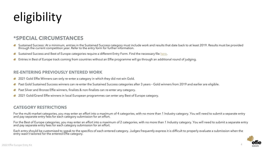# eligibility

### **\*SPECIAL CIRCUMSTANCES**

- Sustained Success: At a minimum, entries in the Sustained Success category must include work and results that date back to at least 2019. Results must be provided<br>through the current competition year. Refer to the entry fo
- Sustained Success and Best of Europe categories require a different Entry Form. Find the necessary file [here.](https://www.effie-europe.com/call-for-entries/entry-materials/)
- Entries in Best of Europe track coming from countries without an Effie programme will go through an additional round of judging.

#### **RE-ENTERING PREVIOUSLY ENTERED WORK**

- 2021 Gold Effie Winners can only re-enter a category in which they did not win Gold.
- Past Gold Sustained Success winners can re-enter the Sustained Success categories after 3 years Gold winners from 2019 and earlier are eligible.
- Past Silver and Bronze Effie winners, finalists & non-finalists can re-enter any category.
- 2021 Gold/Grand Effie winners in local European programmes can enter any Best of Europe category.

### **CATEGORY RESTRICTIONS**

For the multi-market categories, you may enter an effort into a maximum of 4 categories, with no more than 1 Industry category. You will need to submit a separate entry and pay separate entry fees for each category submiss

For the Best of Europe categories, you may enter an effort into a maximum of 2 categories, with no more than 1 Industry category. You will need to submit a separate entry<br>and pay separate entry fees for each category submi

Each entry should be customised to speak to the specifics of each entered category. Judges frequently express it is difficult to properly evaluate a submission when the entry wasn't tailored for the entered Effie category.

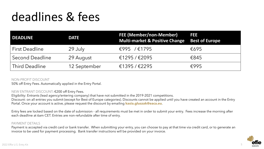# <span id="page-4-0"></span>deadlines & fees

| <b>DEADLINE</b>        | <b>DATE</b>  | <b>FEE (Member/non-Member)</b><br><b>Multi-market &amp; Positive Change Best of Europe</b> | <b>FEE</b> |
|------------------------|--------------|--------------------------------------------------------------------------------------------|------------|
| <b>First Deadline</b>  | 29 July      | €995 /€1795                                                                                | €695       |
| <b>Second Deadline</b> | 29 August    | €1295/€2095                                                                                | €845       |
| <b>Third Deadline</b>  | 12 September | €1395/€2295                                                                                | E995       |

#### NON-PROFIT DISCOUNT

50% off Entry Fees. Automatically applied in the Entry Portal.

#### NEW ENTRANT DISCOUNT: €200 off Entry Fees.

Eligibility: Entrants (lead agency/entering company) that have not submitted in the 2019-2021 competitions. Discount: on all entries you submit (except for Best of Europe categories). Discounts cannot be applied until you have created an account in the Entry

Portal. Once your account is active, please request the discount by emailing **kasia.gluszak@eaca.eu**.

Entry fees are locked based on the date of submission - all requirements must be met in order to submit your entry. Fees increase the morning after each deadline at 6am CET. Entries are non-refundable after time of entry.

#### PAYMENT DETAILS

Payment is accepted via credit card or bank transfer. When submitting your entry, you can choose to pay at that time via credit card, or to generate an invoice to be used for payment processing. Bank transfer instructions will be provided on your invoice.

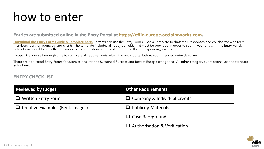### <span id="page-5-0"></span>how to enter

### **Entries are submitted online in the Entry Portal at [https://effie-europe.acclaimworks.com.](https://effie-europe.acclaimworks.com/)**

**[Download the Entry Form Guide & Template here.](https://www.effie-europe.com/call-for-entries/entry-materials/)** Entrants can use the Entry Form Guide & Template to draft their responses and collaborate with team members, partner agencies, and clients. The template includes all required fields that must be provided in order to submit your entry. In the Entry Portal, entrants will need to copy their answers to each question on the entry form into the corresponding question.

Please give yourself enough time to complete all requirements within the entry portal before your intended entry deadline.

There are dedicated Entry Forms for submissions into the Sustained Success and Best of Europe categories. All other category submissions use the standard entry form.

### **ENTRY CHECKLIST**

| <b>Reviewed by Judges</b>               | <b>Other Requirements</b>           |
|-----------------------------------------|-------------------------------------|
| $\Box$ Written Entry Form               | $\Box$ Company & Individual Credits |
| $\Box$ Creative Examples (Reel, Images) | $\Box$ Publicity Materials          |
|                                         | $\Box$ Case Background              |
|                                         | $\Box$ Authorisation & Verification |



6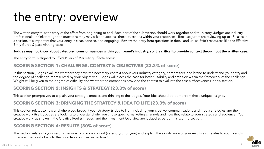# <span id="page-6-0"></span>the entry: overview

The written entry tells the story of the effort from beginning to end. Each part of the submission should work together and tell a story. Judges are industry professionals – think through the questions they may ask and address those questions within your responses. Because jurors are reviewing up to 15 cases in a session, it is important that your entry is clear, concise, and engaging. Review the entry form questions in detail and utilise Effie's resources like the Effective Entry Guide & past winning cases.

#### **Judges may not know about category norms or nuances within your brand's industry, so it is critical to provide context throughout the written case**.

The entry form is aligned to Effie's Pillars of Marketing Effectiveness:

### **SCORING SECTION 1: CHALLENGE, CONTEXT & OBJECTIVES (23.3% of score)**

In this section, judges evaluate whether they have the necessary context about your industry category, competitors, and brand to understand your entry and the degree of challenge represented by your objectives. Judges will assess the case for both suitability and ambition within the framework of the challenge. Weight will be given to the degree of difficulty and whether the entrant has provided the context to evaluate the case's effectiveness in this section.

### **SCORING SECTION 2: INSIGHTS & STRATEGY (23.3% of score)**

This section prompts you to explain your strategic process and thinking to the judges. Your idea should be borne from these unique insights.

### **SCORING SECTION 3: BRINGING THE STRATEGY & IDEA TO LIFE (23.3% of score)**

This section relates to how and where you brought your strategy & idea to life – including your creative, communications and media strategies and the creative work itself. Judges are looking to understand why you chose specific marketing channels and how they relate to your strategy and audience. Your creative work, as shown in the Creative Reel & Images, and the Investment Overview are judged as part of this scoring section.

### **SCORING SECTION 4: RESULTS (30% of score)**

This section relates to your results. Be sure to provide context (category/prior year) and explain the significance of your results as it relates to your brand's business. Tie results back to the objectives outlined in Section 1.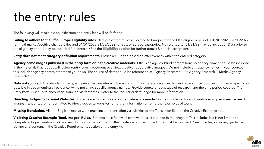# the entry: rules

The following will result in disqualification and entry fees will be forfeited:

**Failing to adhere to the Effie Europe Eligibility rules.** Data presented must be isolated to Europe, and the Effie eligibility period is 01/01/2021-31/03/2022 for multi-market/positive change effies and 01/01/2020-31/03/2022 for Best of Europe categories. No results after 01/31/22 may be included. Data prior to the eligibility period may be included for context. \*See the **[Eligibility section](#page-2-0)** for further details & special exceptions.

**Entry does not meet category definition requirements.** Entries are judged based on effectiveness within the entered category.

Agency names/logos published in the entry form or in the creative materials. Effie is an agency-blind competition; no agency names should be included in the materials that judges will review (entry form, investment overview, creative reel, creative images). Do not include any agency names in your sources – this includes agency names other than your own. The source of data should be referenced as "Agency Research," "PR Agency Research," "Media Agency Research," etc.

**Data not sourced.** All data, claims, facts, etc. presented anywhere in the entry form must reference a specific, verifiable source. Sources must be as specific as possible in documenting all evidence, while not citing specific agency names. Provide source of data, type of research, and the time period covered. The Entry Portal is set up to encourage sourcing via footnotes. Refer to the "sourcing data" page for more information.

**Directing Judges to External Websites.** Entrants are judged solely on the materials presented in their written entry and creative examples (creative reel + images). Entrants are not permitted to direct judges to websites for further information or for further examples of work.

**Missing Translation.** All non-English creative work must include translation via subtitles or the Translation field on the Creative Examples tab.

**Violating Creative Example (Reel, Images) Rules.** Entrants must follow all creative rules as outlined in the entry kit. This includes but is not limited to: competitor logos/creative work and results may not be included in the creative examples; time limits must be followed. See full rules, including guidelines on editing and content, in the Creative Requirements section of the entry kit.

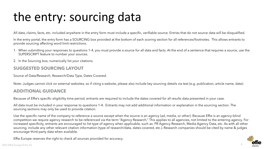# the entry: sourcing data

All data, claims, facts, etc. included anywhere in the entry form must include a specific, verifiable source. Entries that do not source data will be disqualified.

In the entry portal, the entry form has a SOURCING box provided at the bottom of each scoring section for all references/footnotes. This allows entrants to provide sourcing affecting word limit restrictions.

- 1. When submitting your responses to questions 1-4, you must provide a source for all data and facts. At the end of a sentence that requires a source, use the SUPERSCRIPT feature to number your sources.
- 2. In the Sourcing box, numerically list your citations.

### **SUGGESTED SOURCING LAYOUT**

Source of Data/Research, Research/Data Type, Dates Covered.

Note: Judges cannot click on external websites, so if citing a website, please also include key sourcing details via text (e.g. publication, article name, date).

### **ADDITIONAL GUIDANCE**

Because of Effie's specific eligibility time period, entrants are required to include the dates covered for all results data presented in your case.

All data must be included in your response to questions 1-4. Entrants may not add additional information or explanation in the sourcing section. The sourcing sections may only be used to provide citation.

Use the specific name of the company to reference a source except when the source is an agency (ad, media, or other). Because Effie is an agency-blind competition we require agency research to be referenced via the term "Agency Research." This applies to all agencies, not limited to the entering agency. For increased specificity, entrants are encouraged to list type of agency when applicable, such as: PR Agency Research, Media Agency Data, etc. As with all other sourcing, include any other relevant citation information (type of research/data, dates covered, etc.). Research companies should be cited by name & judges encourage third-party data when available.

Effie Europe reserves the right to check all sources provided for accuracy.

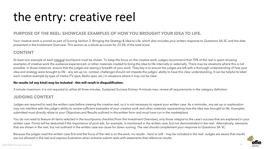# the entry: creative reel

#### **PURPOSE OF THE REEL: SHOWCASE EXAMPLES OF HOW YOU BROUGHT YOUR IDEA TO LIFE.**

Your creative work is scored as part of Scoring Section 3: Bringing the Strategy & Idea to Life, which also includes your written response to Questions 3A-3C and the data presented in the Investment Overview. This section as a whole accounts for 23.3% of the total score.

#### **CONTENT**

At least one example of each integral touchpoint must be shown. To keep the focus on the creative work, judges recommend that 70% of the reel is spent showing examples of creative work the audience experienced, or other materials created to bring the idea to life internally or externally. There may be situations where this is not possible. In those instances, ensure that the judges are seeing a breadth of your work. They key is to ensure the judges are left with a thorough understanding of how your idea and strategy were brought to life – any set-up (re: context, challenge) should not impede the judges' ability to have this clear understanding. It can be helpful to label each creative example by type of media (TV spot, Radio spot, etc.) in situations where it may not be clear.

#### **No results (of any kind) may be included – this will result in disqualification.**

3-minute maximum; it is not required to utilise all three minutes. Sustained Success Entries: 4-minute max; review all requirements in the category definition.

#### **JUDGING CONTEXT**

Judges are required to read the written case before viewing the creative reel, so it is not necessary to repeat your written case. As a reminder, any set-up or explanation may not interfere with the judge's ability to review sufficient examples of your creative work and other materials representing how the idea was brought to life. Examples submitted must directly relate to your Objectives and Results outlined in the written form and must have run in the marketplace.

You do not need to feature all items selected in the touchpoints checklist (from the Investment Overview), only those integral to the case's success that are explained in your written case. Points will be deducted if the importance of print ads, for example, is mentioned in the written case, but not demonstrated in the reel. Alternatively, elements that are shown in the reel, but not outlined in the written case are cause for down scoring. The reel should complement your response to Questions 3A-3C.

Because the judges read the written case first and the focus of the reel is on the work, no results – hard or soft - may be included in the reel. Judges are aware that results are not allowed in the reel and express frustration when entrants submit reels with statements that reference results.

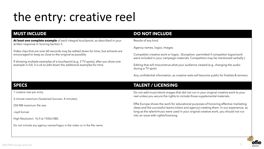# the entry: creative reel

**At least one complete example** of each integral touchpoint, as described in your written response in Scoring Section 3.

Video clips that are over 60 seconds may be edited down for time; but entrants are encouraged to keep as close to the original as possible.

If showing multiple examples of a touchpoint (e.g. 3 TV spots), after you show one example in full, it is ok to edit down the additional examples for time.

### **MUST INCLUDE DO NOT INCLUDE**

Results of any kind.

Agency names, logos, images.

Competitor creative work or logos. (Exception: permitted if competitor logos/work were included in your campaign materials. Competitors may be mentioned verbally.)

Editing that will misconstrue what your audience viewed (e.g. changing the audio during a TV spot).

Any confidential information, as creative reels will become public for finalists & winners.

1 creative reel per entry.

3-minute maximum (Sustained Success: 4-minutes).

250 MB maximum file size.

.mp4 format.

High Resolution: 16:9 at 1920x1080.

Do not include any agency names/logos in the video or in the file name.

### **SPECS TALENT / LICENSING**

Do not add music/stock images that did not run in your original creative work to your reel unless you secure the rights to include those supplemental materials.

Effie Europe shows the work for educational purposes of honoring effective marketing ideas and the successful teams (client and agency) creating them. In our experience, as long as the talent/music were used in your original creative work, you should not run into an issue with rights/licensing.



11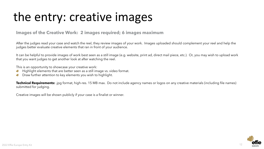# the entry: creative images

### **Images of the Creative Work: 2 images required; 6 images maximum**

After the judges read your case and watch the reel, they review images of your work. Images uploaded should complement your reel and help the judges better evaluate creative elements that ran in front of your audience.

It can be helpful to provide images of work best seen as a still image (e.g. website, print ad, direct mail piece, etc.). Or, you may wish to upload work that you want judges to get another look at after watching the reel.

This is an opportunity to showcase your creative work:

- Highlight elements that are better seen as a still image vs. video format.
- Draw further attention to key elements you wish to highlight.

**Technical Requirements:** .jpg format, high-res. 15 MB max. Do not include agency names or logos on any creative materials (including file names) submitted for judging.

Creative images will be shown publicly if your case is a finalist or winner.

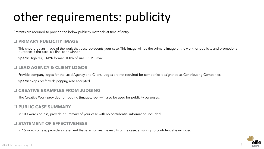# <span id="page-12-0"></span>other requirements: publicity

Entrants are required to provide the below publicity materials at time of entry.

### **PRIMARY PUBLICITY IMAGE**

This should be an image of the work that best represents your case. This image will be the primary image of the work for publicity and promotional purposes if the case is a finalist or winner.

**Specs:** High res, CMYK format, 100% of size. 15 MB max.

### **LEAD AGENCY & CLIENT LOGOS**

Provide company logos for the Lead Agency and Client. Logos are not required for companies designated as Contributing Companies.

**Specs:** ai/eps preferred; jpg/png also accepted.

### **CREATIVE EXAMPLES FROM JUDGING**

The Creative Work provided for judging (images, reel) will also be used for publicity purposes.

### **PUBLIC CASE SUMMARY**

In 100 words or less, provide a summary of your case with no confidential information included.

### **STATEMENT OF EFFECTIVENESS**

In 15 words or less, provide a statement that exemplifies the results of the case, ensuring no confidential is included.

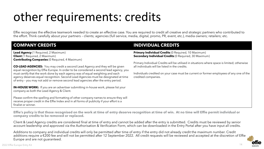# other requirements: credits

Effie recognises the effective teamwork needed to create an effective case. You are required to credit all creative and strategic partners who contributed to the effort. Think carefully about your partners – clients; agencies (full service, media, digital, promo, PR, event, etc.), media owners; retailers; etc.

#### **COMPANY CREDITS INDIVIDUAL CREDITS Lead Agency** (1 Required, 2 Maximum) **Client** (1 Required, 2 Maximum) **Contributing Companies** (0 Required, 4 Maximum)

**CO-LEAD AGENCIES:** You may credit a second Lead Agency and they will be given equal recognition by Effie Europe. In order to be considered a second lead agency, you must certify that the work done by each agency was of equal weighting and each agency deserves equal recognition. Second Lead Agencies must be designated at time of entry – you may not add or remove second lead agencies after the entry period.

**IN-HOUSE WORK:** If you are an advertiser submitting in-house work, please list your company as both the Lead Agency & Client.

Please confirm the spelling and formatting of other company names to ensure they will receive proper credit in the Effie Index and in all forms of publicity if your effort is a finalist or winner.

**Primary Individual Credits (0 Required, 10 Maximum) Secondary Individual Credits (0 Required, 30 Maximum)** 

Primary Individual Credits will be utilised in situations where space is limited; otherwise all individuals will be listed in the credits.

Individuals credited on your case must be current or former employees of any one of the credited companies.

 $14$ 

**Effie's policy is that those recognised on the work at time of entry deserve recognition at time of win. At no time will Effie permit individual or company credits to be removed or replaced.**

Client & Lead Agency credits are considered final at time of entry and cannot be added after the entry is submitted. Credits must be reviewed by senior account leadership and approved via the Authorisation & Verification Form, which can be downloaded in the Entry Portal after you have input all credits.

Additions to company and individual credits will only be permitted after time of entry if the entry did not already credit the maximum number. Credit additions require a €200 fee and will not be permitted after 12 September 2022. All credit requests will be reviewed and accepted at the discretion of Effie Europe and are not guaranteed.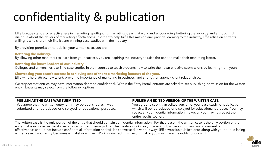# <span id="page-14-0"></span>confidentiality & publication

Effie Europe stands for effectiveness in marketing, spotlighting marketing ideas that work and encouraging bettering the industry and a thoughtful dialogue about the drivers of marketing effectiveness. In order to help fulfill this mission and provide learning to the industry, Effie relies on entrants' willingness to share their finalist and winning case studies with the industry.

By providing permission to publish your written case, you are:

**Bettering the industry.** By allowing other marketers to learn from your success, you are inspiring the industry to raise the bar and make their marketing better.

#### **Bettering the future leaders of our industry.**

Colleges and universities use Effie case studies in their courses to teach students how to write their own effective submissions by learning from yours.

#### **Showcasing your team's success in achieving one of the top marketing honours of the year.**

Effie wins help attract new talent, prove the importance of marketing in business, and strengthen agency-client relationships.

We respect that entries may have information deemed confidential. Within the Entry Portal, entrants are asked to set publishing permission for the written entry. Entrants may select from the following options:

#### **PUBLISH AS THE CASE WAS SUBMITTED**

You agree that the written entry form may be published as it was submitted and reproduced or displayed for educational purposes.

#### **PUBLISH AN EDITED VERSION OF THE WRITTEN CASE**

You agree to submit an edited version of your case study for publication which will be reproduced or displayed for educational purposes. You may redact any confidential information; however, you may not redact the entire results section.

The written case is the only portion of the entry that should contain confidential information. For that reason, the written case is the only portion of the entry that is included in the above publication permission policy. The creative work (reel, images), public case summary, and statement of effectiveness should not include confidential information and will be showcased in various ways (Effie website/publications), along with your public-facing written case, if your entry becomes a finalist or winner. Work submitted must be original or you must have the rights to submit it.

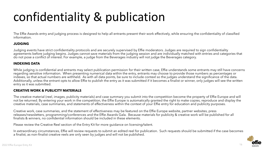# confidentiality & publication

The Effie Awards entry and judging process is designed to help all entrants present their work effectively, while ensuring the confidentiality of classified information.

#### **JUDGING**

Judging events have strict confidentiality protocols and are securely supervised by Effie moderators. Judges are required to sign confidentiality agreements before judging begins. Judges cannot save materials from the judging session and are individually matched with entries and categories that do not pose a conflict of interest. For example, a judge from the Beverages industry will not judge the Beverages category.

#### **INDEXING DATA**

While judging is confidential and entrants may select publication permission for their written case, Effie understands some entrants may still have concerns regarding sensitive information. When presenting numerical data within the entry, entrants may choose to provide those numbers as percentages or indexes, so that actual numbers are withheld. As with all data points, be sure to include context so the judges understand the significance of the data. Additionally, unless the entrant opts to allow Effie to publish the entry as it was submitted if it becomes a finalist or winner, only judges will see the written entry as it was submitted.

#### **CREATIVE WORK & PUBLICITY MATERIALS**

The creative material (reel, images, publicity materials) and case summary you submit into the competition become the property of Effie Europe and will not be returned. By entering your work in the competition, the Effie Europe is automatically granted the right to make copies, reproduce and display the creative materials, case summaries, and statements of effectiveness within the context of your Effie entry for education and publicity purposes.

Creative work, case summaries, and the statement of effectiveness may be featured on the Effie Europe website, partner websites, press releases/newsletters, programming/conferences and the Effie Awards Gala. Because materials for publicity & creative work will be published for all finalists & winners, no confidential information should be included in these elements.

Please review the Creative Reel section of the Entry Kit for more guidance on licensing/talent.

In extraordinary circumstances, Effie will review requests to submit an edited reel for publication. Such requests should be submitted if the case becomes a finalist, as non-finalist creative reels are only seen by judges and will not be published.

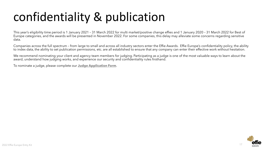# confidentiality & publication

This year's eligibility time period is 1 January 2021 – 31 March 2022 for multi market/positive change effies and 1 January 2020 – 31 March 2022 for Best of Europe categories, and the awards will be presented in November 2022. For some companies, this delay may alleviate some concerns regarding sensitive data.

Companies across the full spectrum – from large to small and across all industry sectors enter the Effie Awards. Effie Europe's confidentiality policy, the ability to index data, the ability to set publication permissions, etc. are all established to ensure that any company can enter their effective work without hesitation.

We recommend nominating your client and agency team members for judging. Participating as a judge is one of the most valuable ways to learn about the award, understand how judging works, and experience our security and confidentiality rules firsthand.

To nominate a judge, please complete our **[Judge Application Form](https://www.effie-europe.com/judging/nominate/)**.

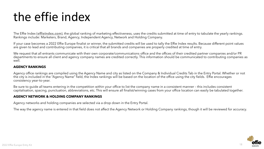# <span id="page-17-0"></span>the effie index

The Effie Index (**[effieindex.com](http://www.effieindex.com/)**), the global ranking of marketing effectiveness, uses the credits submitted at time of entry to tabulate the yearly rankings. Rankings include: Marketers, Brand, Agency, Independent Agency, Network and Holding Company.

If your case becomes a 2022 Effie Europe finalist or winner, the submitted credits will be used to tally the Effie Index results. Because different point values are given to lead and contributing companies, it is critical that all brands and companies are properly credited at time of entry.

We request that all entrants communicate with their own corporate/communications office and the offices of their credited partner companies and/or PR departments to ensure all client and agency company names are credited correctly. This information should be communicated to contributing companies as well.

#### **AGENCY RANKINGS**

Agency office rankings are compiled using the Agency Name and city as listed on the Company & Individual Credits Tab in the Entry Portal. Whether or not the city is included in the "Agency Name" field, the Index rankings will be based on the location of the office using the city fields. Effie encourages consistency year-to-year.

Be sure to guide all teams entering in the competition within your office to list the company name in a consistent manner – this includes consistent capitalisation, spacing, punctuation, abbreviations, etc. This will ensure all finalist/winning cases from your office location can easily be tabulated together.

#### **AGENCY NETWORK & HOLDING COMPANY RANKINGS**

Agency networks and holding companies are selected via a drop down in the Entry Portal.

The way the agency name is entered in that field does not affect the Agency Network or Holding Company rankings, though it will be reviewed for accuracy.

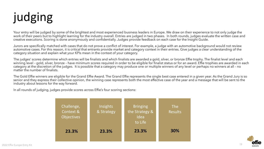# <span id="page-18-0"></span>judging

Your entry will be judged by some of the brightest and most experienced business leaders in Europe. We draw on their experience to not only judge the work of their peers but to highlight learning for the industry overall. Entries are judged in two phases. In both rounds, judges evaluate the written case and creative executions. Scoring is done anonymously and confidentially. Judges provide feedback on each case for the Insight Guide.

Jurors are specifically matched with cases that do not prove a conflict of interest. For example, a judge with an automotive background would not review automotive cases. For this reason, it is critical that entrants provide market and category context in their entries. Give judges a clear understanding of the category situation and explain what your KPIs mean in the context of your category.

The judges' scores determine which entries will be finalists and which finalists are awarded a gold, silver, or bronze Effie trophy. The finalist level and each winning level - gold, silver, bronze - have minimum scores required in order to be eligible for finalist status or for an award. Effie trophies are awarded in each category at the discretion of the judges. It is possible that a category may produce one or multiple winners of any level or perhaps no winners at all – no matter the number of finalists.

The Gold Effie winners are eligible for the Grand Effie Award. The Grand Effie represents the single best case entered in a given year. As the Grand Jury is so senior and they express their collective opinion, the winning case represents both the most effective case of the year and a message that will be sent to the industry about lessons for the way forward.

In all rounds of judging, judges provide scores across Effie's four scoring sections:



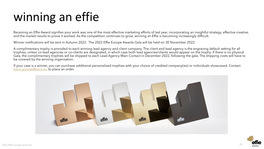# <span id="page-19-0"></span>winning an effie

Receiving an Effie Award signifies your work was one of the most effective marketing efforts of last year, incorporating an insightful strategy, effective creative, and the market results to prove it worked. As the competition continues to grow, winning an Effie is becoming increasingly difficult.

Winner notifications will be sent in Autumn 2022. The 2022 Effie Europe Awards Gala will be held on 30 November 2022.

A complimentary trophy is provided to each winning lead agency and client company. The client and lead agency is the engraving default setting for all trophies, unless co-lead agencies or co-clients are designated, in which case both lead agencies/clients would appear on the trophy. If there is no physical Gala, the complimentary trophies will be shipped to each Lead Agency Main Contact in December 2022, following the gala. The shipping costs will have to be covered by the winning organisation.

If your case is a winner, you can purchase additional personalised trophies with your choice of credited company(ies) or individuals showcased. Contact [kasia.gluszak@eaca.eu](mailto:kasia.gluszak@eaca.eu) to place an order.



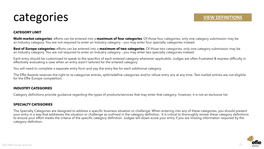### <span id="page-20-0"></span>categories

#### **CATEGORY LIMIT**

**Multi-market categories**: efforts can be entered into a **maximum of four categories**. Of those four categories, only one category submission may be an Industry category. You are not required to enter an Industry category – you may enter four specialty categories instead.

**Best of Europe categories:** efforts can be entered into a **maximum of two categories**. Of those two categories, only one category submission may be an Industry category. You are not required to enter an Industry category – you may enter two specialty categories instead.

Each entry should be customised to speak to the specifics of each entered category whenever applicable. Judges are often frustrated & express difficulty in effectively evaluating a case when an entry wasn't tailored for the entered category.

You will need to complete a separate entry form and pay the entry fee for each additional category.

The Effie Awards reserves the right to re-categorise entries, split/redefine categories and/or refuse entry any at any time. Test market entries are not eligible for the Effie Europe competition.

#### **INDUSTRY CATEGORIES**

Category definitions provide guidance regarding the types of products/services that may enter that category; however, it is not an exclusive list.

#### **SPECIALTY CATEGORIES**

The Specialty Categories are designed to address a specific business situation or challenge. When entering into any of these categories, you should present your entry in a way that addresses the situation or challenge as outlined in the category definition. It is critical to thoroughly review these category definitions to ensure your effort meets the criteria of the specific category definition. Judges will down score your entry if you are missing information required by the category definition.

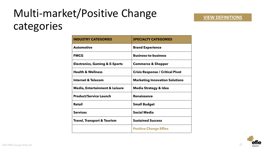# Multi-market/Positive Change categories

| <b>INDUSTRY CATEGORIES</b>                | <b>SPECIALTY CATEGORIES</b>             |  |
|-------------------------------------------|-----------------------------------------|--|
| <b>Automotive</b>                         | <b>Brand Experience</b>                 |  |
| <b>FMCG</b>                               | <b>Business-to-business</b>             |  |
| <b>Electronics, Gaming &amp; E-Sports</b> | <b>Commerce &amp; Shopper</b>           |  |
| <b>Health &amp; Wellness</b>              | <b>Crisis Response / Critical Pivot</b> |  |
| <b>Internet &amp; Telecom</b>             | <b>Marketing Innovation Solutions</b>   |  |
| <b>Media, Entertainment &amp; Leisure</b> | <b>Media Strategy &amp; Idea</b>        |  |
| <b>Product/Service Launch</b>             | <b>Renaissance</b>                      |  |
| <b>Retail</b>                             | <b>Small Budget</b>                     |  |
| <b>Services</b>                           | <b>Social Media</b>                     |  |
| <b>Travel, Transport &amp; Tourism</b>    | <b>Sustained Success</b>                |  |
|                                           | <b>Positive Change Effies</b>           |  |



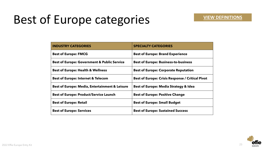# Best of Europe categories

| <b>INDUSTRY CATEGORIES</b>                                | <b>SPECIALTY CATEGORIES</b>                             |
|-----------------------------------------------------------|---------------------------------------------------------|
| <b>Best of Europe: FMCG</b>                               | <b>Best of Europe: Brand Experience</b>                 |
| <b>Best of Europe: Government &amp; Public Service</b>    | <b>Best of Europe: Business-to-business</b>             |
| <b>Best of Europe: Health &amp; Wellness</b>              | <b>Best of Europe: Corporate Reputation</b>             |
| <b>Best of Europe: Internet &amp; Telecom</b>             | <b>Best of Europe: Crisis Response / Critical Pivot</b> |
| <b>Best of Europe: Media, Entertainment &amp; Leisure</b> | <b>Best of Europe: Media Strategy &amp; Idea</b>        |
| <b>Best of Europe: Product/Service Launch</b>             | <b>Best of Europe: Positive Change</b>                  |
| <b>Best of Europe: Retail</b>                             | <b>Best of Europe: Small Budget</b>                     |
| <b>Best of Europe: Services</b>                           | <b>Best of Europe: Sustained Success</b>                |